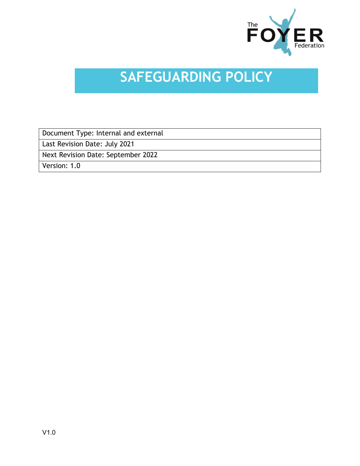

# **SAFEGUARDING POLICY**

Document Type: Internal and external

Last Revision Date: July 2021

Next Revision Date: September 2022

Version: 1.0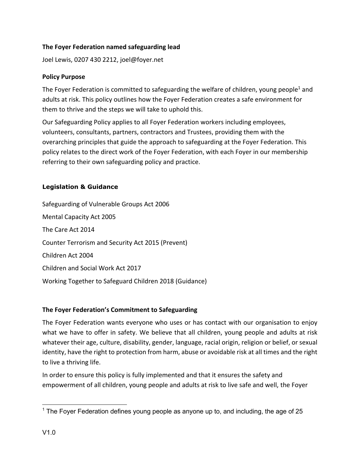## **The Foyer Federation named safeguarding lead**

Joel Lewis, 0207 430 2212, joel@foyer.net

## **Policy Purpose**

The Foyer Federation is committed to safeguarding the welfare of children, young people<sup>1</sup> and adults at risk. This policy outlines how the Foyer Federation creates a safe environment for them to thrive and the steps we will take to uphold this.

Our Safeguarding Policy applies to all Foyer Federation workers including employees, volunteers, consultants, partners, contractors and Trustees, providing them with the overarching principles that guide the approach to safeguarding at the Foyer Federation. This policy relates to the direct work of the Foyer Federation, with each Foyer in our membership referring to their own safeguarding policy and practice.

# **Legislation & Guidance**

Safeguarding of Vulnerable Groups Act 2006 Mental Capacity Act 2005 The Care Act 2014 Counter Terrorism and Security Act 2015 (Prevent) Children Act 2004 Children and Social Work Act 2017 Working Together to Safeguard Children 2018 (Guidance)

## **The Foyer Federation's Commitment to Safeguarding**

The Foyer Federation wants everyone who uses or has contact with our organisation to enjoy what we have to offer in safety. We believe that all children, young people and adults at risk whatever their age, culture, disability, gender, language, racial origin, religion or belief, or sexual identity, have the right to protection from harm, abuse or avoidable risk at all times and the right to live a thriving life.

In order to ensure this policy is fully implemented and that it ensures the safety and empowerment of all children, young people and adults at risk to live safe and well, the Foyer

 $1$  The Fover Federation defines young people as anyone up to, and including, the age of 25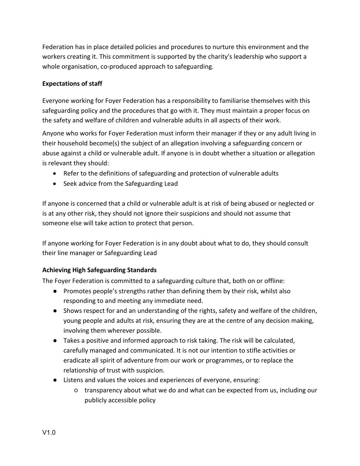Federation has in place detailed policies and procedures to nurture this environment and the workers creating it. This commitment is supported by the charity's leadership who support a whole organisation, co-produced approach to safeguarding.

## **Expectations of staff**

Everyone working for Foyer Federation has a responsibility to familiarise themselves with this safeguarding policy and the procedures that go with it. They must maintain a proper focus on the safety and welfare of children and vulnerable adults in all aspects of their work.

Anyone who works for Foyer Federation must inform their manager if they or any adult living in their household become(s) the subject of an allegation involving a safeguarding concern or abuse against a child or vulnerable adult. If anyone is in doubt whether a situation or allegation is relevant they should:

- Refer to the definitions of safeguarding and protection of vulnerable adults
- Seek advice from the Safeguarding Lead

If anyone is concerned that a child or vulnerable adult is at risk of being abused or neglected or is at any other risk, they should not ignore their suspicions and should not assume that someone else will take action to protect that person.

If anyone working for Foyer Federation is in any doubt about what to do, they should consult their line manager or Safeguarding Lead

## **Achieving High Safeguarding Standards**

The Foyer Federation is committed to a safeguarding culture that, both on or offline:

- Promotes people's strengths rather than defining them by their risk, whilst also responding to and meeting any immediate need.
- Shows respect for and an understanding of the rights, safety and welfare of the children, young people and adults at risk, ensuring they are at the centre of any decision making, involving them wherever possible.
- Takes a positive and informed approach to risk taking. The risk will be calculated, carefully managed and communicated. It is not our intention to stifle activities or eradicate all spirit of adventure from our work or programmes, or to replace the relationship of trust with suspicion.
- Listens and values the voices and experiences of everyone, ensuring:
	- transparency about what we do and what can be expected from us, including our publicly accessible policy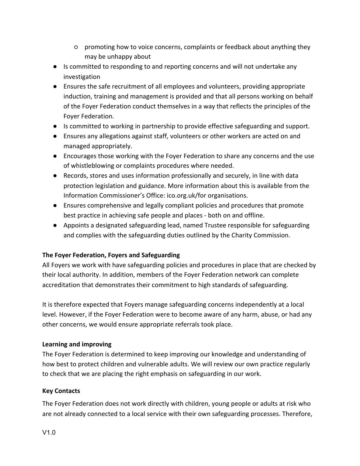- promoting how to voice concerns, complaints or feedback about anything they may be unhappy about
- Is committed to responding to and reporting concerns and will not undertake any investigation
- Ensures the safe recruitment of all employees and volunteers, providing appropriate induction, training and management is provided and that all persons working on behalf of the Foyer Federation conduct themselves in a way that reflects the principles of the Foyer Federation.
- Is committed to working in partnership to provide effective safeguarding and support.
- Ensures any allegations against staff, volunteers or other workers are acted on and managed appropriately.
- Encourages those working with the Foyer Federation to share any concerns and the use of whistleblowing or complaints procedures where needed.
- Records, stores and uses information professionally and securely, in line with data protection legislation and guidance. More information about this is available from the Information Commissioner's Office: ico.org.uk/for organisations.
- Ensures comprehensive and legally compliant policies and procedures that promote best practice in achieving safe people and places - both on and offline.
- Appoints a designated safeguarding lead, named Trustee responsible for safeguarding and complies with the safeguarding duties outlined by the Charity Commission.

## **The Foyer Federation, Foyers and Safeguarding**

All Foyers we work with have safeguarding policies and procedures in place that are checked by their local authority. In addition, members of the Foyer Federation network can complete accreditation that demonstrates their commitment to high standards of safeguarding.

It is therefore expected that Foyers manage safeguarding concerns independently at a local level. However, if the Foyer Federation were to become aware of any harm, abuse, or had any other concerns, we would ensure appropriate referrals took place.

## **Learning and improving**

The Foyer Federation is determined to keep improving our knowledge and understanding of how best to protect children and vulnerable adults. We will review our own practice regularly to check that we are placing the right emphasis on safeguarding in our work.

## **Key Contacts**

The Foyer Federation does not work directly with children, young people or adults at risk who are not already connected to a local service with their own safeguarding processes. Therefore,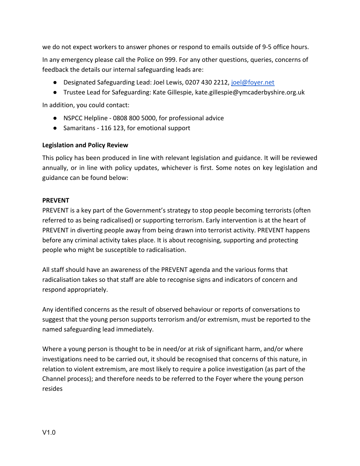we do not expect workers to answer phones or respond to emails outside of 9-5 office hours. In any emergency please call the Police on 999. For any other questions, queries, concerns of feedback the details our internal safeguarding leads are:

- Designated Safeguarding Lead: Joel Lewis, 0207 430 2212, joel@foyer.net
- Trustee Lead for Safeguarding: Kate Gillespie, kate.gillespie@ymcaderbyshire.org.uk

In addition, you could contact:

- NSPCC Helpline 0808 800 5000, for professional advice
- Samaritans 116 123, for emotional support

#### **Legislation and Policy Review**

This policy has been produced in line with relevant legislation and guidance. It will be reviewed annually, or in line with policy updates, whichever is first. Some notes on key legislation and guidance can be found below:

#### **PREVENT**

PREVENT is a key part of the Government's strategy to stop people becoming terrorists (often referred to as being radicalised) or supporting terrorism. Early intervention is at the heart of PREVENT in diverting people away from being drawn into terrorist activity. PREVENT happens before any criminal activity takes place. It is about recognising, supporting and protecting people who might be susceptible to radicalisation.

All staff should have an awareness of the PREVENT agenda and the various forms that radicalisation takes so that staff are able to recognise signs and indicators of concern and respond appropriately.

Any identified concerns as the result of observed behaviour or reports of conversations to suggest that the young person supports terrorism and/or extremism, must be reported to the named safeguarding lead immediately.

Where a young person is thought to be in need/or at risk of significant harm, and/or where investigations need to be carried out, it should be recognised that concerns of this nature, in relation to violent extremism, are most likely to require a police investigation (as part of the Channel process); and therefore needs to be referred to the Foyer where the young person resides